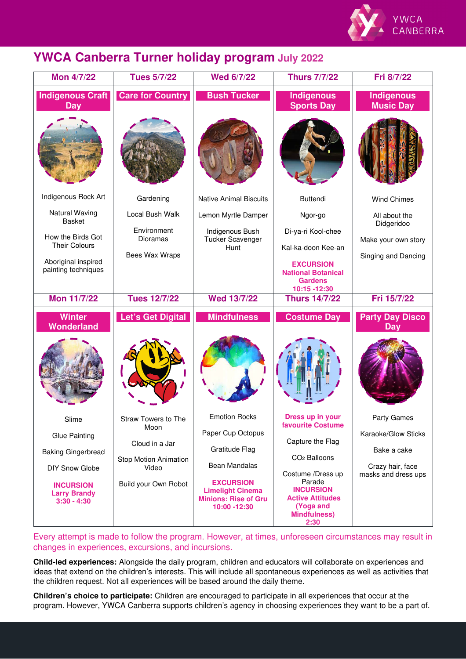

## **YWCA Canberra Turner holiday program July 2022**

| <b>Mon 4/7/22</b>                                        | <b>Tues 5/7/22</b>                 | <b>Wed 6/7/22</b>                                                                          | <b>Thurs 7/7/22</b>                                                                               | Fri 8/7/22                              |
|----------------------------------------------------------|------------------------------------|--------------------------------------------------------------------------------------------|---------------------------------------------------------------------------------------------------|-----------------------------------------|
| <b>Indigenous Craft</b><br><b>Dav</b>                    | <b>Care for Country</b>            | <b>Bush Tucker</b>                                                                         | <b>Indigenous</b><br><b>Sports Day</b>                                                            | <b>Indigenous</b><br><b>Music Day</b>   |
|                                                          |                                    |                                                                                            |                                                                                                   |                                         |
| Indigenous Rock Art                                      | Gardening                          | <b>Native Animal Biscuits</b>                                                              | <b>Buttendi</b>                                                                                   | <b>Wind Chimes</b>                      |
| Natural Waving<br>Basket                                 | Local Bush Walk                    | Lemon Myrtle Damper                                                                        | Ngor-go                                                                                           | All about the<br>Didgeridoo             |
| How the Birds Got                                        | Environment<br>Dioramas            | Indigenous Bush<br><b>Tucker Scavenger</b>                                                 | Di-ya-ri Kool-chee                                                                                | Make your own story                     |
| <b>Their Colours</b>                                     | <b>Bees Wax Wraps</b>              | Hunt                                                                                       | Kal-ka-doon Kee-an                                                                                | Singing and Dancing                     |
| Aboriginal inspired<br>painting techniques               |                                    |                                                                                            | <b>EXCURSION</b><br><b>National Botanical</b><br><b>Gardens</b><br>10:15 -12:30                   |                                         |
| <b>Mon 11/7/22</b>                                       | <b>Tues 12/7/22</b>                | <b>Wed 13/7/22</b>                                                                         | <b>Thurs 14/7/22</b>                                                                              | Fri 15/7/22                             |
| <b>Winter</b><br>Wonderland                              | Let's Get Digital                  | <b>Mindfulness</b>                                                                         | <b>Costume Day</b>                                                                                | <b>Party Day Disco</b><br>Day           |
|                                                          |                                    |                                                                                            |                                                                                                   |                                         |
| Slime                                                    | <b>Straw Towers to The</b><br>Moon | <b>Emotion Rocks</b>                                                                       | Dress up in your<br><b>favourite Costume</b>                                                      | Party Games                             |
| <b>Glue Painting</b>                                     | Cloud in a Jar                     | Paper Cup Octopus                                                                          | Capture the Flag                                                                                  | Karaoke/Glow Sticks                     |
| <b>Baking Gingerbread</b>                                | Stop Motion Animation              | Gratitude Flag                                                                             | CO <sub>2</sub> Balloons                                                                          | Bake a cake                             |
| <b>DIY Snow Globe</b>                                    | Video                              | Bean Mandalas                                                                              | Costume /Dress up                                                                                 | Crazy hair, face<br>masks and dress ups |
| <b>INCURSION</b><br><b>Larry Brandy</b><br>$3:30 - 4:30$ | Build your Own Robot               | <b>EXCURSION</b><br><b>Limelight Cinema</b><br><b>Minions: Rise of Gru</b><br>10:00 -12:30 | Parade<br><b>INCURSION</b><br><b>Active Attitudes</b><br>(Yoga and<br><b>Mindfulness)</b><br>2:30 |                                         |

Every attempt is made to follow the program. However, at times, unforeseen circumstances may result in changes in experiences, excursions, and incursions.

**Child-led experiences:** Alongside the daily program, children and educators will collaborate on experiences and ideas that extend on the children's interests. This will include all spontaneous experiences as well as activities that the children request. Not all experiences will be based around the daily theme.

**Children's choice to participate:** Children are encouraged to participate in all experiences that occur at the program. However, YWCA Canberra supports children's agency in choosing experiences they want to be a part of.